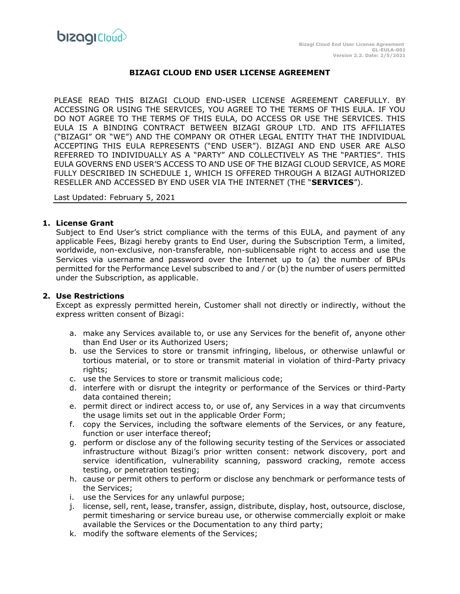

# **BIZAGI CLOUD END USER LICENSE AGREEMENT**

PLEASE READ THIS BIZAGI CLOUD END-USER LICENSE AGREEMENT CAREFULLY. BY ACCESSING OR USING THE SERVICES, YOU AGREE TO THE TERMS OF THIS EULA. IF YOU DO NOT AGREE TO THE TERMS OF THIS EULA, DO ACCESS OR USE THE SERVICES. THIS EULA IS A BINDING CONTRACT BETWEEN BIZAGI GROUP LTD. AND ITS AFFILIATES ("BIZAGI" OR "WE") AND THE COMPANY OR OTHER LEGAL ENTITY THAT THE INDIVIDUAL ACCEPTING THIS EULA REPRESENTS ("END USER"). BIZAGI AND END USER ARE ALSO REFERRED TO INDIVIDUALLY AS A "PARTY" AND COLLECTIVELY AS THE "PARTIES". THIS EULA GOVERNS END USER'S ACCESS TO AND USE OF THE BIZAGI CLOUD SERVICE, AS MORE FULLY DESCRIBED IN SCHEDULE 1, WHICH IS OFFERED THROUGH A BIZAGI AUTHORIZED RESELLER AND ACCESSED BY END USER VIA THE INTERNET (THE "**SERVICES**").

Last Updated: February 5, 2021

#### **1. License Grant**

Subject to End User's strict compliance with the terms of this EULA, and payment of any applicable Fees, Bizagi hereby grants to End User, during the Subscription Term, a limited, worldwide, non-exclusive, non-transferable, non-sublicensable right to access and use the Services via username and password over the Internet up to (a) the number of BPUs permitted for the Performance Level subscribed to and / or (b) the number of users permitted under the Subscription, as applicable.

#### **2. Use Restrictions**

Except as expressly permitted herein, Customer shall not directly or indirectly, without the express written consent of Bizagi:

- a. make any Services available to, or use any Services for the benefit of, anyone other than End User or its Authorized Users;
- b. use the Services to store or transmit infringing, libelous, or otherwise unlawful or tortious material, or to store or transmit material in violation of third-Party privacy rights;
- c. use the Services to store or transmit malicious code;
- d. interfere with or disrupt the integrity or performance of the Services or third-Party data contained therein;
- e. permit direct or indirect access to, or use of, any Services in a way that circumvents the usage limits set out in the applicable Order Form;
- f. copy the Services, including the software elements of the Services, or any feature, function or user interface thereof;
- g. perform or disclose any of the following security testing of the Services or associated infrastructure without Bizagi's prior written consent: network discovery, port and service identification, vulnerability scanning, password cracking, remote access testing, or penetration testing;
- h. cause or permit others to perform or disclose any benchmark or performance tests of the Services;
- i. use the Services for any unlawful purpose;
- j. license, sell, rent, lease, transfer, assign, distribute, display, host, outsource, disclose, permit timesharing or service bureau use, or otherwise commercially exploit or make available the Services or the Documentation to any third party;
- k. modify the software elements of the Services;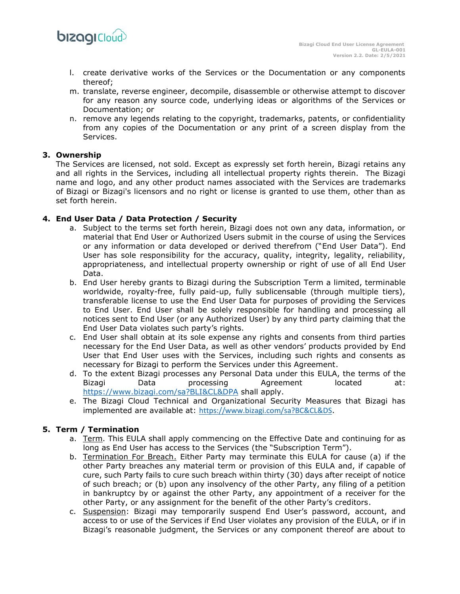

- l. create derivative works of the Services or the Documentation or any components thereof;
- m. translate, reverse engineer, decompile, disassemble or otherwise attempt to discover for any reason any source code, underlying ideas or algorithms of the Services or Documentation; or
- n. remove any legends relating to the copyright, trademarks, patents, or confidentiality from any copies of the Documentation or any print of a screen display from the Services.

# **3. Ownership**

The Services are licensed, not sold. Except as expressly set forth herein, Bizagi retains any and all rights in the Services, including all intellectual property rights therein. The Bizagi name and logo, and any other product names associated with the Services are trademarks of Bizagi or Bizagi's licensors and no right or license is granted to use them, other than as set forth herein.

# **4. End User Data / Data Protection / Security**

- a. Subject to the terms set forth herein, Bizagi does not own any data, information, or material that End User or Authorized Users submit in the course of using the Services or any information or data developed or derived therefrom ("End User Data"). End User has sole responsibility for the accuracy, quality, integrity, legality, reliability, appropriateness, and intellectual property ownership or right of use of all End User Data.
- b. End User hereby grants to Bizagi during the Subscription Term a limited, terminable worldwide, royalty-free, fully paid-up, fully sublicensable (through multiple tiers), transferable license to use the End User Data for purposes of providing the Services to End User. End User shall be solely responsible for handling and processing all notices sent to End User (or any Authorized User) by any third party claiming that the End User Data violates such party's rights.
- c. End User shall obtain at its sole expense any rights and consents from third parties necessary for the End User Data, as well as other vendors' products provided by End User that End User uses with the Services, including such rights and consents as necessary for Bizagi to perform the Services under this Agreement.
- d. To the extent Bizagi processes any Personal Data under this EULA, the terms of the Bizagi Data processing Agreement located at: <https://www.bizagi.com/sa?BLI&CL&DPA> shall apply.
- e. The Bizagi Cloud Technical and Organizational Security Measures that Bizagi has implemented are available at: <https://www.bizagi.com/sa?BC&CL&DS>.

## **5. Term / Termination**

- a. Term. This EULA shall apply commencing on the Effective Date and continuing for as long as End User has access to the Services (the "Subscription Term").
- b. Termination For Breach. Either Party may terminate this EULA for cause (a) if the other Party breaches any material term or provision of this EULA and, if capable of cure, such Party fails to cure such breach within thirty (30) days after receipt of notice of such breach; or (b) upon any insolvency of the other Party, any filing of a petition in bankruptcy by or against the other Party, any appointment of a receiver for the other Party, or any assignment for the benefit of the other Party's creditors.
- c. Suspension: Bizagi may temporarily suspend End User's password, account, and access to or use of the Services if End User violates any provision of the EULA, or if in Bizagi's reasonable judgment, the Services or any component thereof are about to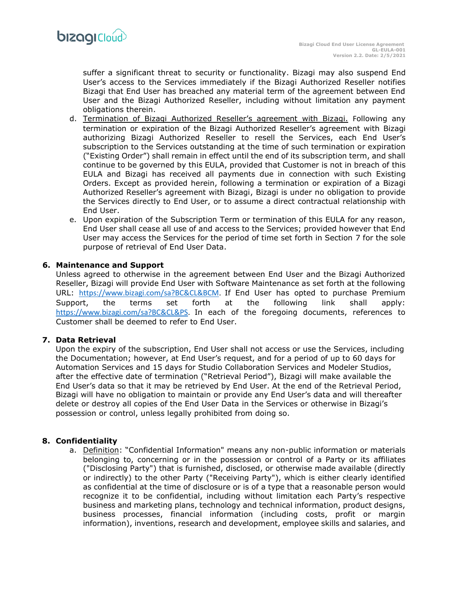

suffer a significant threat to security or functionality. Bizagi may also suspend End User's access to the Services immediately if the Bizagi Authorized Reseller notifies Bizagi that End User has breached any material term of the agreement between End User and the Bizagi Authorized Reseller, including without limitation any payment obligations therein.

- d. Termination of Bizagi Authorized Reseller's agreement with Bizagi. Following any termination or expiration of the Bizagi Authorized Reseller's agreement with Bizagi authorizing Bizagi Authorized Reseller to resell the Services, each End User's subscription to the Services outstanding at the time of such termination or expiration ("Existing Order") shall remain in effect until the end of its subscription term, and shall continue to be governed by this EULA, provided that Customer is not in breach of this EULA and Bizagi has received all payments due in connection with such Existing Orders. Except as provided herein, following a termination or expiration of a Bizagi Authorized Reseller's agreement with Bizagi, Bizagi is under no obligation to provide the Services directly to End User, or to assume a direct contractual relationship with End User.
- e. Upon expiration of the Subscription Term or termination of this EULA for any reason, End User shall cease all use of and access to the Services; provided however that End User may access the Services for the period of time set forth in Section 7 for the sole purpose of retrieval of End User Data.

#### **6. Maintenance and Support**

Unless agreed to otherwise in the agreement between End User and the Bizagi Authorized Reseller, Bizagi will provide End User with Software Maintenance as set forth at the following URL: [https://www.bizagi.com/sa?BC&CL&BCM.](https://www.bizagi.com/sa?BC&CL&BCM) If End User has opted to purchase Premium Support, the terms set forth at the following link shall apply: [https://www.bizagi.com/sa?BC&CL&PS.](https://www.bizagi.com/sa?BC&CL&PS) In each of the foregoing documents, references to Customer shall be deemed to refer to End User.

## **7. Data Retrieval**

Upon the expiry of the subscription, End User shall not access or use the Services, including the Documentation; however, at End User's request, and for a period of up to 60 days for Automation Services and 15 days for Studio Collaboration Services and Modeler Studios, after the effective date of termination ("Retrieval Period"), Bizagi will make available the End User's data so that it may be retrieved by End User. At the end of the Retrieval Period, Bizagi will have no obligation to maintain or provide any End User's data and will thereafter delete or destroy all copies of the End User Data in the Services or otherwise in Bizagi's possession or control, unless legally prohibited from doing so.

## **8. Confidentiality**

a. Definition: "Confidential Information" means any non-public information or materials belonging to, concerning or in the possession or control of a Party or its affiliates ("Disclosing Party") that is furnished, disclosed, or otherwise made available (directly or indirectly) to the other Party ("Receiving Party"), which is either clearly identified as confidential at the time of disclosure or is of a type that a reasonable person would recognize it to be confidential, including without limitation each Party's respective business and marketing plans, technology and technical information, product designs, business processes, financial information (including costs, profit or margin information), inventions, research and development, employee skills and salaries, and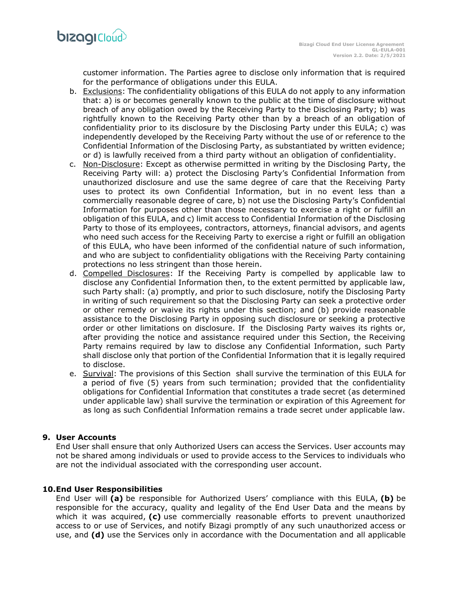customer information. The Parties agree to disclose only information that is required for the performance of obligations under this EULA.

- b. Exclusions: The confidentiality obligations of this EULA do not apply to any information that: a) is or becomes generally known to the public at the time of disclosure without breach of any obligation owed by the Receiving Party to the Disclosing Party; b) was rightfully known to the Receiving Party other than by a breach of an obligation of confidentiality prior to its disclosure by the Disclosing Party under this EULA; c) was independently developed by the Receiving Party without the use of or reference to the Confidential Information of the Disclosing Party, as substantiated by written evidence; or d) is lawfully received from a third party without an obligation of confidentiality.
- c. Non-Disclosure: Except as otherwise permitted in writing by the Disclosing Party, the Receiving Party will: a) protect the Disclosing Party's Confidential Information from unauthorized disclosure and use the same degree of care that the Receiving Party uses to protect its own Confidential Information, but in no event less than a commercially reasonable degree of care, b) not use the Disclosing Party's Confidential Information for purposes other than those necessary to exercise a right or fulfill an obligation of this EULA, and c) limit access to Confidential Information of the Disclosing Party to those of its employees, contractors, attorneys, financial advisors, and agents who need such access for the Receiving Party to exercise a right or fulfill an obligation of this EULA, who have been informed of the confidential nature of such information, and who are subject to confidentiality obligations with the Receiving Party containing protections no less stringent than those herein.
- d. Compelled Disclosures: If the Receiving Party is compelled by applicable law to disclose any Confidential Information then, to the extent permitted by applicable law, such Party shall: (a) promptly, and prior to such disclosure, notify the Disclosing Party in writing of such requirement so that the Disclosing Party can seek a protective order or other remedy or waive its rights under this section; and (b) provide reasonable assistance to the Disclosing Party in opposing such disclosure or seeking a protective order or other limitations on disclosure. If the Disclosing Party waives its rights or, after providing the notice and assistance required under this Section, the Receiving Party remains required by law to disclose any Confidential Information, such Party shall disclose only that portion of the Confidential Information that it is legally required to disclose.
- e. Survival: The provisions of this Section shall survive the termination of this EULA for a period of five (5) years from such termination; provided that the confidentiality obligations for Confidential Information that constitutes a trade secret (as determined under applicable law) shall survive the termination or expiration of this Agreement for as long as such Confidential Information remains a trade secret under applicable law.

## **9. User Accounts**

End User shall ensure that only Authorized Users can access the Services. User accounts may not be shared among individuals or used to provide access to the Services to individuals who are not the individual associated with the corresponding user account.

## **10.End User Responsibilities**

End User will **(a)** be responsible for Authorized Users' compliance with this EULA, **(b)** be responsible for the accuracy, quality and legality of the End User Data and the means by which it was acquired, **(c)** use commercially reasonable efforts to prevent unauthorized access to or use of Services, and notify Bizagi promptly of any such unauthorized access or use, and **(d)** use the Services only in accordance with the Documentation and all applicable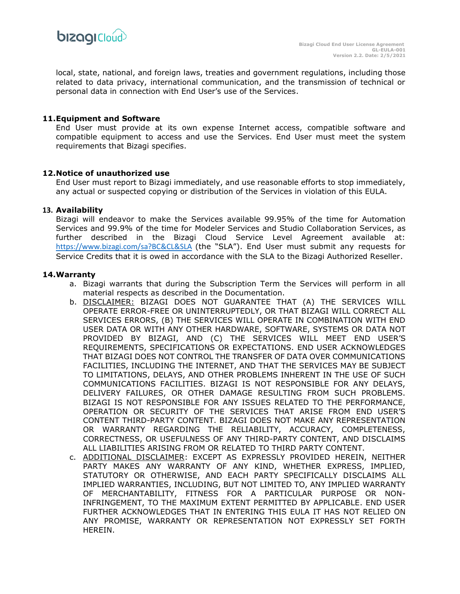

local, state, national, and foreign laws, treaties and government regulations, including those related to data privacy, international communication, and the transmission of technical or personal data in connection with End User's use of the Services.

#### **11.Equipment and Software**

End User must provide at its own expense Internet access, compatible software and compatible equipment to access and use the Services. End User must meet the system requirements that Bizagi specifies.

#### **12.Notice of unauthorized use**

End User must report to Bizagi immediately, and use reasonable efforts to stop immediately, any actual or suspected copying or distribution of the Services in violation of this EULA.

#### **13. Availability**

Bizagi will endeavor to make the Services available 99.95% of the time for Automation Services and 99.9% of the time for Modeler Services and Studio Collaboration Services, as further described in the Bizagi Cloud Service Level Agreement available at: [https://www.bizagi.com/sa?BC&CL&SLA](https://resourcesbizagi.azureedge.net/docs/StandardAgreements_2/Cloud/Service-Description/Service-Level-Agreement-NA.pdf) (the "SLA"). End User must submit any requests for Service Credits that it is owed in accordance with the SLA to the Bizagi Authorized Reseller.

## **14.Warranty**

- a. Bizagi warrants that during the Subscription Term the Services will perform in all material respects as described in the Documentation.
- b. DISCLAIMER: BIZAGI DOES NOT GUARANTEE THAT (A) THE SERVICES WILL OPERATE ERROR-FREE OR UNINTERRUPTEDLY, OR THAT BIZAGI WILL CORRECT ALL SERVICES ERRORS, (B) THE SERVICES WILL OPERATE IN COMBINATION WITH END USER DATA OR WITH ANY OTHER HARDWARE, SOFTWARE, SYSTEMS OR DATA NOT PROVIDED BY BIZAGI, AND (C) THE SERVICES WILL MEET END USER'S REQUIREMENTS, SPECIFICATIONS OR EXPECTATIONS. END USER ACKNOWLEDGES THAT BIZAGI DOES NOT CONTROL THE TRANSFER OF DATA OVER COMMUNICATIONS FACILITIES, INCLUDING THE INTERNET, AND THAT THE SERVICES MAY BE SUBJECT TO LIMITATIONS, DELAYS, AND OTHER PROBLEMS INHERENT IN THE USE OF SUCH COMMUNICATIONS FACILITIES. BIZAGI IS NOT RESPONSIBLE FOR ANY DELAYS, DELIVERY FAILURES, OR OTHER DAMAGE RESULTING FROM SUCH PROBLEMS. BIZAGI IS NOT RESPONSIBLE FOR ANY ISSUES RELATED TO THE PERFORMANCE, OPERATION OR SECURITY OF THE SERVICES THAT ARISE FROM END USER'S CONTENT THIRD-PARTY CONTENT. BIZAGI DOES NOT MAKE ANY REPRESENTATION OR WARRANTY REGARDING THE RELIABILITY, ACCURACY, COMPLETENESS, CORRECTNESS, OR USEFULNESS OF ANY THIRD-PARTY CONTENT, AND DISCLAIMS ALL LIABILITIES ARISING FROM OR RELATED TO THIRD PARTY CONTENT.
- c. ADDITIONAL DISCLAIMER: EXCEPT AS EXPRESSLY PROVIDED HEREIN, NEITHER PARTY MAKES ANY WARRANTY OF ANY KIND, WHETHER EXPRESS, IMPLIED, STATUTORY OR OTHERWISE, AND EACH PARTY SPECIFICALLY DISCLAIMS ALL IMPLIED WARRANTIES, INCLUDING, BUT NOT LIMITED TO, ANY IMPLIED WARRANTY OF MERCHANTABILITY, FITNESS FOR A PARTICULAR PURPOSE OR NON-INFRINGEMENT, TO THE MAXIMUM EXTENT PERMITTED BY APPLICABLE. END USER FURTHER ACKNOWLEDGES THAT IN ENTERING THIS EULA IT HAS NOT RELIED ON ANY PROMISE, WARRANTY OR REPRESENTATION NOT EXPRESSLY SET FORTH HEREIN.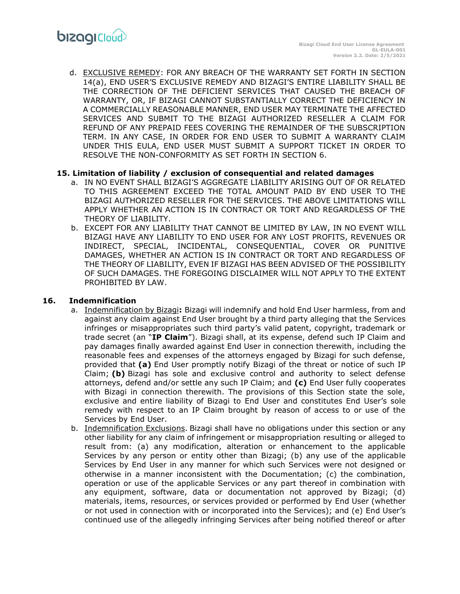d. EXCLUSIVE REMEDY: FOR ANY BREACH OF THE WARRANTY SET FORTH IN SECTION 14(a), END USER'S EXCLUSIVE REMEDY AND BIZAGI'S ENTIRE LIABILITY SHALL BE THE CORRECTION OF THE DEFICIENT SERVICES THAT CAUSED THE BREACH OF WARRANTY, OR, IF BIZAGI CANNOT SUBSTANTIALLY CORRECT THE DEFICIENCY IN A COMMERCIALLY REASONABLE MANNER, END USER MAY TERMINATE THE AFFECTED SERVICES AND SUBMIT TO THE BIZAGI AUTHORIZED RESELLER A CLAIM FOR REFUND OF ANY PREPAID FEES COVERING THE REMAINDER OF THE SUBSCRIPTION TERM. IN ANY CASE, IN ORDER FOR END USER TO SUBMIT A WARRANTY CLAIM UNDER THIS EULA, END USER MUST SUBMIT A SUPPORT TICKET IN ORDER TO RESOLVE THE NON-CONFORMITY AS SET FORTH IN SECTION 6.

## **15. Limitation of liability / exclusion of consequential and related damages**

- a. IN NO EVENT SHALL BIZAGI'S AGGREGATE LIABILITY ARISING OUT OF OR RELATED TO THIS AGREEMENT EXCEED THE TOTAL AMOUNT PAID BY END USER TO THE BIZAGI AUTHORIZED RESELLER FOR THE SERVICES. THE ABOVE LIMITATIONS WILL APPLY WHETHER AN ACTION IS IN CONTRACT OR TORT AND REGARDLESS OF THE THEORY OF LIABILITY.
- b. EXCEPT FOR ANY LIABILITY THAT CANNOT BE LIMITED BY LAW, IN NO EVENT WILL BIZAGI HAVE ANY LIABILITY TO END USER FOR ANY LOST PROFITS, REVENUES OR INDIRECT, SPECIAL, INCIDENTAL, CONSEQUENTIAL, COVER OR PUNITIVE DAMAGES, WHETHER AN ACTION IS IN CONTRACT OR TORT AND REGARDLESS OF THE THEORY OF LIABILITY, EVEN IF BIZAGI HAS BEEN ADVISED OF THE POSSIBILITY OF SUCH DAMAGES. THE FOREGOING DISCLAIMER WILL NOT APPLY TO THE EXTENT PROHIBITED BY LAW.

## **16. Indemnification**

- a. Indemnification by Bizagi**:** Bizagi will indemnify and hold End User harmless, from and against any claim against End User brought by a third party alleging that the Services infringes or misappropriates such third party's valid patent, copyright, trademark or trade secret (an "**IP Claim**"). Bizagi shall, at its expense, defend such IP Claim and pay damages finally awarded against End User in connection therewith, including the reasonable fees and expenses of the attorneys engaged by Bizagi for such defense, provided that **(a)** End User promptly notify Bizagi of the threat or notice of such IP Claim; **(b)** Bizagi has sole and exclusive control and authority to select defense attorneys, defend and/or settle any such IP Claim; and **(c)** End User fully cooperates with Bizagi in connection therewith. The provisions of this Section state the sole, exclusive and entire liability of Bizagi to End User and constitutes End User's sole remedy with respect to an IP Claim brought by reason of access to or use of the Services by End User.
- b. Indemnification Exclusions. Bizagi shall have no obligations under this section or any other liability for any claim of infringement or misappropriation resulting or alleged to result from: (a) any modification, alteration or enhancement to the applicable Services by any person or entity other than Bizagi; (b) any use of the applicable Services by End User in any manner for which such Services were not designed or otherwise in a manner inconsistent with the Documentation; (c) the combination, operation or use of the applicable Services or any part thereof in combination with any equipment, software, data or documentation not approved by Bizagi; (d) materials, items, resources, or services provided or performed by End User (whether or not used in connection with or incorporated into the Services); and (e) End User's continued use of the allegedly infringing Services after being notified thereof or after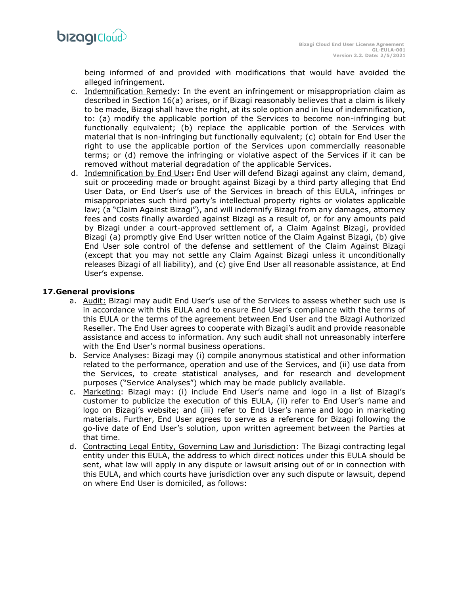

being informed of and provided with modifications that would have avoided the alleged infringement.

- c. Indemnification Remedy: In the event an infringement or misappropriation claim as described in Section 16(a) arises, or if Bizagi reasonably believes that a claim is likely to be made, Bizagi shall have the right, at its sole option and in lieu of indemnification, to: (a) modify the applicable portion of the Services to become non-infringing but functionally equivalent; (b) replace the applicable portion of the Services with material that is non-infringing but functionally equivalent; (c) obtain for End User the right to use the applicable portion of the Services upon commercially reasonable terms; or (d) remove the infringing or violative aspect of the Services if it can be removed without material degradation of the applicable Services.
- d. Indemnification by End User**:** End User will defend Bizagi against any claim, demand, suit or proceeding made or brought against Bizagi by a third party alleging that End User Data, or End User's use of the Services in breach of this EULA, infringes or misappropriates such third party's intellectual property rights or violates applicable law; (a "Claim Against Bizagi"), and will indemnify Bizagi from any damages, attorney fees and costs finally awarded against Bizagi as a result of, or for any amounts paid by Bizagi under a court-approved settlement of, a Claim Against Bizagi, provided Bizagi (a) promptly give End User written notice of the Claim Against Bizagi, (b) give End User sole control of the defense and settlement of the Claim Against Bizagi (except that you may not settle any Claim Against Bizagi unless it unconditionally releases Bizagi of all liability), and (c) give End User all reasonable assistance, at End User's expense.

#### **17.General provisions**

- a. Audit: Bizagi may audit End User's use of the Services to assess whether such use is in accordance with this EULA and to ensure End User's compliance with the terms of this EULA or the terms of the agreement between End User and the Bizagi Authorized Reseller. The End User agrees to cooperate with Bizagi's audit and provide reasonable assistance and access to information. Any such audit shall not unreasonably interfere with the End User's normal business operations.
- b. Service Analyses: Bizagi may (i) compile anonymous statistical and other information related to the performance, operation and use of the Services, and (ii) use data from the Services, to create statistical analyses, and for research and development purposes ("Service Analyses") which may be made publicly available.
- c. Marketing: Bizagi may: (i) include End User's name and logo in a list of Bizagi's customer to publicize the execution of this EULA, (ii) refer to End User's name and logo on Bizagi's website; and (iii) refer to End User's name and logo in marketing materials. Further, End User agrees to serve as a reference for Bizagi following the go-live date of End User's solution, upon written agreement between the Parties at that time.
- d. Contracting Legal Entity, Governing Law and Jurisdiction: The Bizagi contracting legal entity under this EULA, the address to which direct notices under this EULA should be sent, what law will apply in any dispute or lawsuit arising out of or in connection with this EULA, and which courts have jurisdiction over any such dispute or lawsuit, depend on where End User is domiciled, as follows: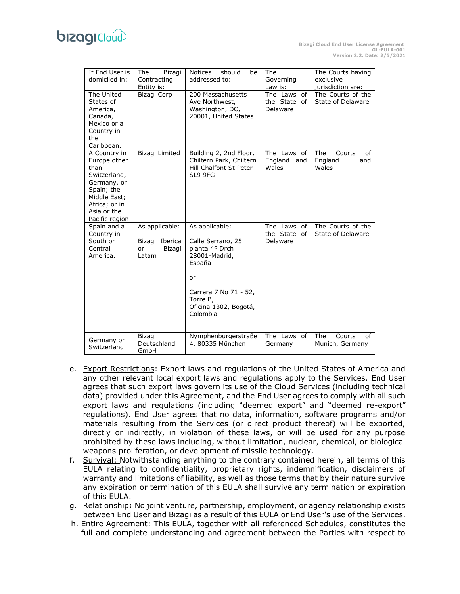# **bizagi**Cloud

| If End User is<br>domiciled in:                                                                                                                     | The<br>Bizagi<br>Contracting<br>Entity is:                | <b>Notices</b><br>should<br>be<br>addressed to:                                                                                                                  | The<br>Governing<br>Law is:                | The Courts having<br>exclusive<br>jurisdiction are: |
|-----------------------------------------------------------------------------------------------------------------------------------------------------|-----------------------------------------------------------|------------------------------------------------------------------------------------------------------------------------------------------------------------------|--------------------------------------------|-----------------------------------------------------|
| The United<br>States of<br>America,<br>Canada,<br>Mexico or a<br>Country in<br>the<br>Caribbean.                                                    | Bizagi Corp                                               | 200 Massachusetts<br>Ave Northwest,<br>Washington, DC,<br>20001, United States                                                                                   | The Laws<br>of<br>the State of<br>Delaware | The Courts of the<br>State of Delaware              |
| A Country in<br>Europe other<br>than<br>Switzerland,<br>Germany, or<br>Spain; the<br>Middle East;<br>Africa; or in<br>Asia or the<br>Pacific region | Bizagi Limited                                            | Building 2, 2nd Floor,<br>Chiltern Park, Chiltern<br>Hill Chalfont St Peter<br>SL9 9FG                                                                           | The Laws of<br>England<br>and<br>Wales     | The<br>Courts<br>of<br>England<br>and<br>Wales      |
| Spain and a<br>Country in<br>South or<br>Central<br>America.                                                                                        | As applicable:<br>Bizagi Iberica<br>Bizagi<br>or<br>Latam | As applicable:<br>Calle Serrano, 25<br>planta 4º Drch<br>28001-Madrid,<br>España<br>or<br>Carrera 7 No 71 - 52,<br>Torre B,<br>Oficina 1302, Bogotá,<br>Colombia | The Laws of<br>the State of<br>Delaware    | The Courts of the<br>State of Delaware              |
| Germany or<br>Switzerland                                                                                                                           | Bizagi<br>Deutschland<br>GmbH                             | Nymphenburgerstraße<br>4, 80335 München                                                                                                                          | The Laws of<br>Germany                     | <b>The</b><br>Courts<br>of<br>Munich, Germany       |

- e. Export Restrictions: Export laws and regulations of the United States of America and any other relevant local export laws and regulations apply to the Services. End User agrees that such export laws govern its use of the Cloud Services (including technical data) provided under this Agreement, and the End User agrees to comply with all such export laws and regulations (including "deemed export" and "deemed re-export" regulations). End User agrees that no data, information, software programs and/or materials resulting from the Services (or direct product thereof) will be exported, directly or indirectly, in violation of these laws, or will be used for any purpose prohibited by these laws including, without limitation, nuclear, chemical, or biological weapons proliferation, or development of missile technology.
- f. Survival: Notwithstanding anything to the contrary contained herein, all terms of this EULA relating to confidentiality, proprietary rights, indemnification, disclaimers of warranty and limitations of liability, as well as those terms that by their nature survive any expiration or termination of this EULA shall survive any termination or expiration of this EULA.
- g. Relationship**:** No joint venture, partnership, employment, or agency relationship exists between End User and Bizagi as a result of this EULA or End User's use of the Services.
- h. Entire Agreement: This EULA, together with all referenced Schedules, constitutes the full and complete understanding and agreement between the Parties with respect to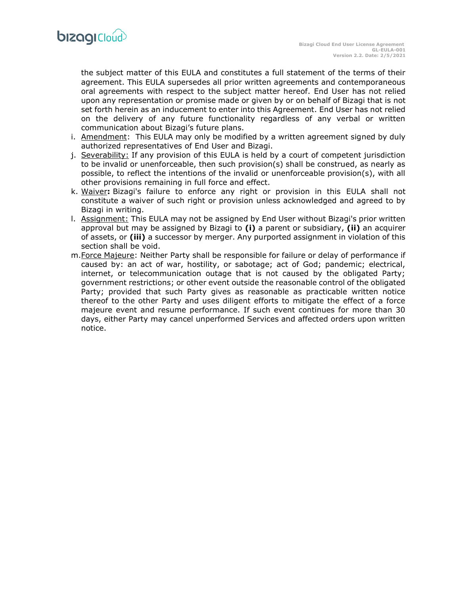

the subject matter of this EULA and constitutes a full statement of the terms of their agreement. This EULA supersedes all prior written agreements and contemporaneous oral agreements with respect to the subject matter hereof. End User has not relied upon any representation or promise made or given by or on behalf of Bizagi that is not set forth herein as an inducement to enter into this Agreement. End User has not relied on the delivery of any future functionality regardless of any verbal or written communication about Bizagi's future plans.

- i. Amendment: This EULA may only be modified by a written agreement signed by duly authorized representatives of End User and Bizagi.
- j. Severability: If any provision of this EULA is held by a court of competent jurisdiction to be invalid or unenforceable, then such provision(s) shall be construed, as nearly as possible, to reflect the intentions of the invalid or unenforceable provision(s), with all other provisions remaining in full force and effect.
- k. Waiver**:** Bizagi's failure to enforce any right or provision in this EULA shall not constitute a waiver of such right or provision unless acknowledged and agreed to by Bizagi in writing.
- l. Assignment: This EULA may not be assigned by End User without Bizagi's prior written approval but may be assigned by Bizagi to **(i)** a parent or subsidiary, **(ii)** an acquirer of assets, or **(iii)** a successor by merger. Any purported assignment in violation of this section shall be void.
- m.Force Majeure: Neither Party shall be responsible for failure or delay of performance if caused by: an act of war, hostility, or sabotage; act of God; pandemic; electrical, internet, or telecommunication outage that is not caused by the obligated Party; government restrictions; or other event outside the reasonable control of the obligated Party; provided that such Party gives as reasonable as practicable written notice thereof to the other Party and uses diligent efforts to mitigate the effect of a force majeure event and resume performance. If such event continues for more than 30 days, either Party may cancel unperformed Services and affected orders upon written notice.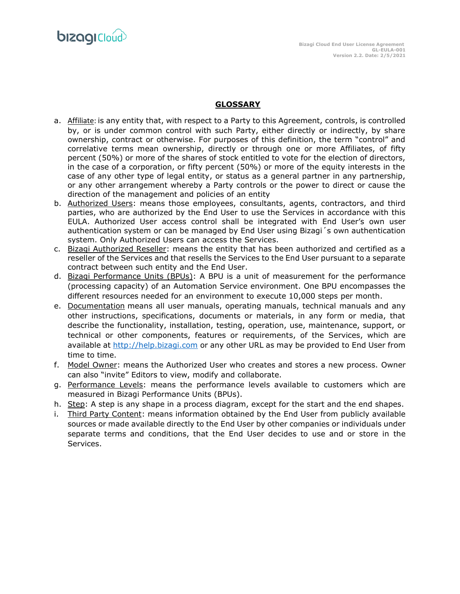**bizagi**Cloud

## **GLOSSARY**

- a. Affiliate: is any entity that, with respect to a Party to this Agreement, controls, is controlled by, or is under common control with such Party, either directly or indirectly, by share ownership, contract or otherwise. For purposes of this definition, the term "control" and correlative terms mean ownership, directly or through one or more Affiliates, of fifty percent (50%) or more of the shares of stock entitled to vote for the election of directors, in the case of a corporation, or fifty percent (50%) or more of the equity interests in the case of any other type of legal entity, or status as a general partner in any partnership, or any other arrangement whereby a Party controls or the power to direct or cause the direction of the management and policies of an entity
- b. Authorized Users: means those employees, consultants, agents, contractors, and third parties, who are authorized by the End User to use the Services in accordance with this EULA. Authorized User access control shall be integrated with End User's own user authentication system or can be managed by End User using Bizagi´s own authentication system. Only Authorized Users can access the Services.
- c. Bizagi Authorized Reseller: means the entity that has been authorized and certified as a reseller of the Services and that resells the Services to the End User pursuant to a separate contract between such entity and the End User.
- d. Bizagi Performance Units (BPUs): A BPU is a unit of measurement for the performance (processing capacity) of an Automation Service environment. One BPU encompasses the different resources needed for an environment to execute 10,000 steps per month.
- e. Documentation means all user manuals, operating manuals, technical manuals and any other instructions, specifications, documents or materials, in any form or media, that describe the functionality, installation, testing, operation, use, maintenance, support, or technical or other components, features or requirements, of the Services, which are available at [http://help.bizagi.com](http://help.bizagi.com/) or any other URL as may be provided to End User from time to time.
- f. Model Owner: means the Authorized User who creates and stores a new process. Owner can also "invite" Editors to view, modify and collaborate.
- g. Performance Levels: means the performance levels available to customers which are measured in Bizagi Performance Units (BPUs).
- h. Step: A step is any shape in a process diagram, except for the start and the end shapes.
- i. Third Party Content: means information obtained by the End User from publicly available sources or made available directly to the End User by other companies or individuals under separate terms and conditions, that the End User decides to use and or store in the Services.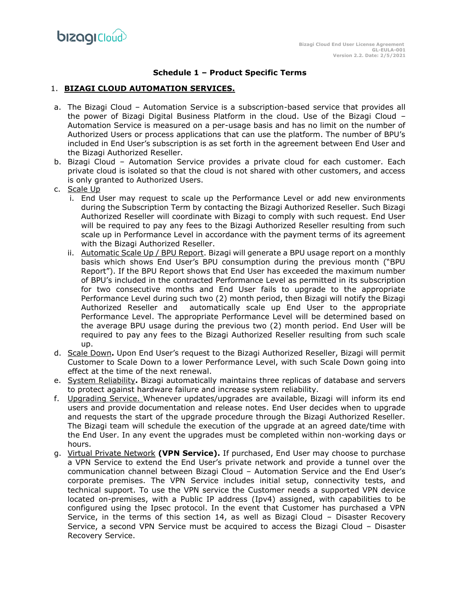## **Schedule 1 – Product Specific Terms**

## 1. **BIZAGI CLOUD AUTOMATION SERVICES.**

- a. The Bizagi Cloud Automation Service is a subscription-based service that provides all the power of Bizagi Digital Business Platform in the cloud. Use of the Bizagi Cloud – Automation Service is measured on a per-usage basis and has no limit on the number of Authorized Users or process applications that can use the platform. The number of BPU's included in End User's subscription is as set forth in the agreement between End User and the Bizagi Authorized Reseller.
- b. Bizagi Cloud Automation Service provides a private cloud for each customer. Each private cloud is isolated so that the cloud is not shared with other customers, and access is only granted to Authorized Users.
- c. Scale Up
	- i. End User may request to scale up the Performance Level or add new environments during the Subscription Term by contacting the Bizagi Authorized Reseller. Such Bizagi Authorized Reseller will coordinate with Bizagi to comply with such request. End User will be required to pay any fees to the Bizagi Authorized Reseller resulting from such scale up in Performance Level in accordance with the payment terms of its agreement with the Bizagi Authorized Reseller.
	- ii. Automatic Scale Up / BPU Report. Bizagi will generate a BPU usage report on a monthly basis which shows End User's BPU consumption during the previous month ("BPU Report"). If the BPU Report shows that End User has exceeded the maximum number of BPU's included in the contracted Performance Level as permitted in its subscription for two consecutive months and End User fails to upgrade to the appropriate Performance Level during such two (2) month period, then Bizagi will notify the Bizagi Authorized Reseller and automatically scale up End User to the appropriate Performance Level. The appropriate Performance Level will be determined based on the average BPU usage during the previous two (2) month period. End User will be required to pay any fees to the Bizagi Authorized Reseller resulting from such scale up.
- d. Scale Down**.** Upon End User's request to the Bizagi Authorized Reseller, Bizagi will permit Customer to Scale Down to a lower Performance Level, with such Scale Down going into effect at the time of the next renewal.
- e. System Reliability**.** Bizagi automatically maintains three replicas of database and servers to protect against hardware failure and increase system reliability.
- f. Upgrading Service. Whenever updates/upgrades are available, Bizagi will inform its end users and provide documentation and release notes. End User decides when to upgrade and requests the start of the upgrade procedure through the Bizagi Authorized Reseller. The Bizagi team will schedule the execution of the upgrade at an agreed date/time with the End User. In any event the upgrades must be completed within non-working days or hours.
- g. Virtual Private Network **(VPN Service).** If purchased, End User may choose to purchase a VPN Service to extend the End User's private network and provide a tunnel over the communication channel between Bizagi Cloud – Automation Service and the End User's corporate premises. The VPN Service includes initial setup, connectivity tests, and technical support. To use the VPN service the Customer needs a supported VPN device located on-premises, with a Public IP address (Ipv4) assigned, with capabilities to be configured using the Ipsec protocol. In the event that Customer has purchased a VPN Service, in the terms of this section 14, as well as Bizagi Cloud – Disaster Recovery Service, a second VPN Service must be acquired to access the Bizagi Cloud – Disaster Recovery Service.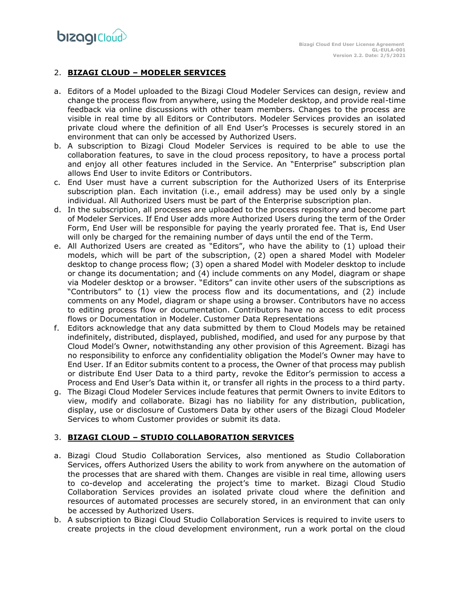# 2. **BIZAGI CLOUD – MODELER SERVICES**

- a. Editors of a Model uploaded to the Bizagi Cloud Modeler Services can design, review and change the process flow from anywhere, using the Modeler desktop, and provide real-time feedback via online discussions with other team members. Changes to the process are visible in real time by all Editors or Contributors. Modeler Services provides an isolated private cloud where the definition of all End User's Processes is securely stored in an environment that can only be accessed by Authorized Users.
- b. A subscription to Bizagi Cloud Modeler Services is required to be able to use the collaboration features, to save in the cloud process repository, to have a process portal and enjoy all other features included in the Service. An "Enterprise" subscription plan allows End User to invite Editors or Contributors.
- c. End User must have a current subscription for the Authorized Users of its Enterprise subscription plan. Each invitation (i.e., email address) may be used only by a single individual. All Authorized Users must be part of the Enterprise subscription plan.
- d. In the subscription, all processes are uploaded to the process repository and become part of Modeler Services. If End User adds more Authorized Users during the term of the Order Form, End User will be responsible for paying the yearly prorated fee. That is, End User will only be charged for the remaining number of days until the end of the Term.
- e. All Authorized Users are created as "Editors", who have the ability to (1) upload their models, which will be part of the subscription, (2) open a shared Model with Modeler desktop to change process flow; (3) open a shared Model with Modeler desktop to include or change its documentation; and (4) include comments on any Model, diagram or shape via Modeler desktop or a browser. "Editors" can invite other users of the subscriptions as "Contributors" to (1) view the process flow and its documentations, and (2) include comments on any Model, diagram or shape using a browser. Contributors have no access to editing process flow or documentation. Contributors have no access to edit process flows or Documentation in Modeler. Customer Data Representations
- f. Editors acknowledge that any data submitted by them to Cloud Models may be retained indefinitely, distributed, displayed, published, modified, and used for any purpose by that Cloud Model's Owner, notwithstanding any other provision of this Agreement. Bizagi has no responsibility to enforce any confidentiality obligation the Model's Owner may have to End User. If an Editor submits content to a process, the Owner of that process may publish or distribute End User Data to a third party, revoke the Editor's permission to access a Process and End User's Data within it, or transfer all rights in the process to a third party.
- g. The Bizagi Cloud Modeler Services include features that permit Owners to invite Editors to view, modify and collaborate. Bizagi has no liability for any distribution, publication, display, use or disclosure of Customers Data by other users of the Bizagi Cloud Modeler Services to whom Customer provides or submit its data.

# 3. **BIZAGI CLOUD – STUDIO COLLABORATION SERVICES**

- a. Bizagi Cloud Studio Collaboration Services, also mentioned as Studio Collaboration Services, offers Authorized Users the ability to work from anywhere on the automation of the processes that are shared with them. Changes are visible in real time, allowing users to co-develop and accelerating the project's time to market. Bizagi Cloud Studio Collaboration Services provides an isolated private cloud where the definition and resources of automated processes are securely stored, in an environment that can only be accessed by Authorized Users.
- b. A subscription to Bizagi Cloud Studio Collaboration Services is required to invite users to create projects in the cloud development environment, run a work portal on the cloud